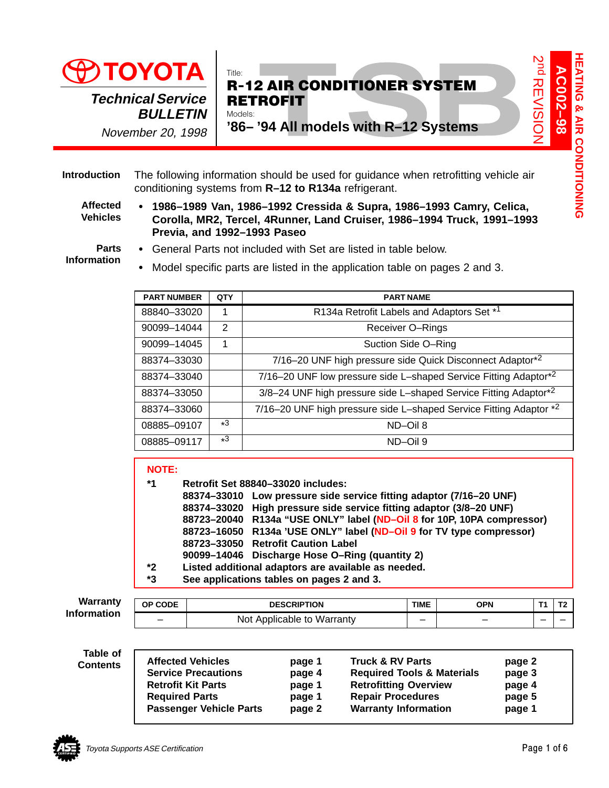



### The following information should be used for guidance when retrofitting vehicle air conditioning systems from **R–12 to R134a** refrigerant. **Introduction**

**Affected Vehicles**

I

**Parts Information**

| <b>Technical Service</b><br><b>BULLETIN</b><br>November 20, 1998 | Models:                                                                    | $\vec{p}$<br>AC002-98<br>Title:<br><b>REVISION</b><br><b>R-12 AIR CONDITIONER SYSTEM</b><br><b>RETROFIT</b><br>'86-'94 All models with R-12 Systems                                                                                                                                                                                                                                                                                                                                                                            |  |  |  |  |  |  |  |
|------------------------------------------------------------------|----------------------------------------------------------------------------|--------------------------------------------------------------------------------------------------------------------------------------------------------------------------------------------------------------------------------------------------------------------------------------------------------------------------------------------------------------------------------------------------------------------------------------------------------------------------------------------------------------------------------|--|--|--|--|--|--|--|
|                                                                  |                                                                            | The following information should be used for guidance when retrofitting vehicle air<br>conditioning systems from R-12 to R134a refrigerant.                                                                                                                                                                                                                                                                                                                                                                                    |  |  |  |  |  |  |  |
|                                                                  |                                                                            | 1986–1989 Van, 1986–1992 Cressida & Supra, 1986–1993 Camry, Celica,<br>Corolla, MR2, Tercel, 4Runner, Land Cruiser, 1986-1994 Truck, 1991-1993<br>Previa, and 1992-1993 Paseo                                                                                                                                                                                                                                                                                                                                                  |  |  |  |  |  |  |  |
|                                                                  |                                                                            | • General Parts not included with Set are listed in table below.                                                                                                                                                                                                                                                                                                                                                                                                                                                               |  |  |  |  |  |  |  |
|                                                                  | Model specific parts are listed in the application table on pages 2 and 3. |                                                                                                                                                                                                                                                                                                                                                                                                                                                                                                                                |  |  |  |  |  |  |  |
| <b>PART NUMBER</b>                                               | QTY                                                                        | <b>PART NAME</b>                                                                                                                                                                                                                                                                                                                                                                                                                                                                                                               |  |  |  |  |  |  |  |
| 88840-33020                                                      | 1                                                                          | R134a Retrofit Labels and Adaptors Set *1                                                                                                                                                                                                                                                                                                                                                                                                                                                                                      |  |  |  |  |  |  |  |
| 90099-14044                                                      | $\overline{2}$                                                             | Receiver O-Rings                                                                                                                                                                                                                                                                                                                                                                                                                                                                                                               |  |  |  |  |  |  |  |
| 90099-14045                                                      | 1                                                                          | Suction Side O-Ring                                                                                                                                                                                                                                                                                                                                                                                                                                                                                                            |  |  |  |  |  |  |  |
| 88374-33030                                                      |                                                                            | 7/16-20 UNF high pressure side Quick Disconnect Adaptor*2                                                                                                                                                                                                                                                                                                                                                                                                                                                                      |  |  |  |  |  |  |  |
| 88374-33040                                                      |                                                                            | 7/16-20 UNF low pressure side L-shaped Service Fitting Adaptor*2                                                                                                                                                                                                                                                                                                                                                                                                                                                               |  |  |  |  |  |  |  |
| 88374-33050                                                      |                                                                            | 3/8-24 UNF high pressure side L-shaped Service Fitting Adaptor*2                                                                                                                                                                                                                                                                                                                                                                                                                                                               |  |  |  |  |  |  |  |
| 88374-33060                                                      |                                                                            | 7/16-20 UNF high pressure side L-shaped Service Fitting Adaptor *2                                                                                                                                                                                                                                                                                                                                                                                                                                                             |  |  |  |  |  |  |  |
| 08885-09107                                                      | $*3$                                                                       | ND-Oil 8                                                                                                                                                                                                                                                                                                                                                                                                                                                                                                                       |  |  |  |  |  |  |  |
|                                                                  |                                                                            | $*3$<br>ND-Oil 9                                                                                                                                                                                                                                                                                                                                                                                                                                                                                                               |  |  |  |  |  |  |  |
| 08885-09117                                                      |                                                                            |                                                                                                                                                                                                                                                                                                                                                                                                                                                                                                                                |  |  |  |  |  |  |  |
| <b>NOTE:</b><br>*1<br>$*2$<br>*3                                 |                                                                            | Retrofit Set 88840-33020 includes:<br>88374-33010 Low pressure side service fitting adaptor (7/16-20 UNF)<br>88374-33020 High pressure side service fitting adaptor (3/8-20 UNF)<br>88723-20040 R134a "USE ONLY" label (ND-Oil 8 for 10P, 10PA compressor)<br>88723-16050 R134a 'USE ONLY" label (ND-Oil 9 for TV type compressor)<br>88723-33050 Retrofit Caution Label<br>90099-14046 Discharge Hose O-Ring (quantity 2)<br>Listed additional adaptors are available as needed.<br>See applications tables on pages 2 and 3. |  |  |  |  |  |  |  |
| OP CODE                                                          |                                                                            | <b>DESCRIPTION</b><br><b>TIME</b><br>T1<br><b>OPN</b>                                                                                                                                                                                                                                                                                                                                                                                                                                                                          |  |  |  |  |  |  |  |
|                                                                  |                                                                            | Not Applicable to Warranty<br>$\overline{\phantom{0}}$<br>$\overline{\phantom{0}}$<br>$\overline{\phantom{0}}$                                                                                                                                                                                                                                                                                                                                                                                                                 |  |  |  |  |  |  |  |

# **NOTE:**

|    | 88374-33010 Low pressure side service fitting adaptor (7/16-20 UNF)    |
|----|------------------------------------------------------------------------|
|    | 88374-33020 High pressure side service fitting adaptor (3/8-20 UNF)    |
|    | 88723-20040 R134a "USE ONLY" label (ND-Oil 8 for 10P, 10PA compressor) |
|    | 88723-16050 R134a 'USE ONLY" label (ND-Oil 9 for TV type compressor)   |
|    | 88723-33050 Retrofit Caution Label                                     |
|    | 90099-14046 Discharge Hose O-Ring (quantity 2)                         |
| *2 | Listed additional adaptors are available as needed.                    |

| <b>Warranty</b><br><b>Information</b> | <b>CODE</b><br>ОP | <b>DESCRIPTION</b>                  | <b>TIME</b> | OPN | <b>T0</b><br>. . |
|---------------------------------------|-------------------|-------------------------------------|-------------|-----|------------------|
|                                       |                   | Warranty<br>Not<br>Applicable<br>to | __          |     |                  |

**Table of Contents**

| <b>Affected Vehicles</b>       | page 1 | <b>Truck &amp; RV Parts</b>           | page 2 |
|--------------------------------|--------|---------------------------------------|--------|
| <b>Service Precautions</b>     | page 4 | <b>Required Tools &amp; Materials</b> | page 3 |
| <b>Retrofit Kit Parts</b>      | page 1 | <b>Retrofitting Overview</b>          | page 4 |
| <b>Required Parts</b>          | page 1 | <b>Repair Procedures</b>              | page 5 |
| <b>Passenger Vehicle Parts</b> | page 2 | <b>Warranty Information</b>           | page 1 |

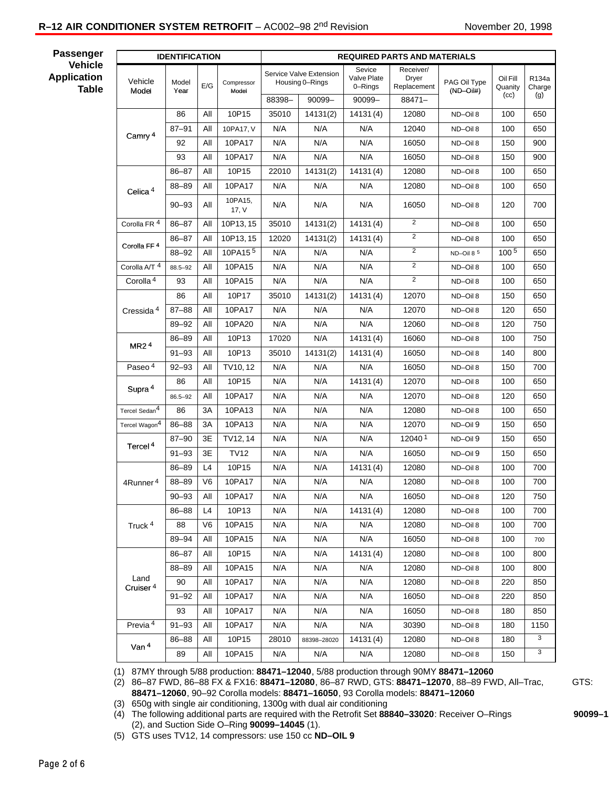# **R-12 AIR CONDITIONER SYSTEM RETROFIT** – AC002–98 2<sup>nd</sup> Revision November 20, 1998

**Passenger Vehicle Application**

**Table**

| <b>IDENTIFICATION</b>        |               |                |                     | <b>REQUIRED PARTS AND MATERIALS</b>        |             |                                  |                                   |                             |                     |                 |
|------------------------------|---------------|----------------|---------------------|--------------------------------------------|-------------|----------------------------------|-----------------------------------|-----------------------------|---------------------|-----------------|
| Vehicle<br>Model             | Model<br>Year | E/G            | Compressor<br>Model | Service Valve Extension<br>Housing 0-Rings |             | Sevice<br>Valve Plate<br>0-Rings | Receiver/<br>Dryer<br>Replacement | PAG Oil Type<br>$(ND-Oil#)$ | Oil Fill<br>Quanity | R134a<br>Charge |
|                              |               |                |                     | 88398-                                     | $90099 -$   | $90099 -$                        | 88471-                            |                             | (cc)                | (g)             |
| Camry <sup>4</sup>           | 86            | All            | 10P15               | 35010                                      | 14131(2)    | 14131(4)                         | 12080                             | ND-Oil 8                    | 100                 | 650             |
|                              | $87 - 91$     | All            | 10PA17, V           | N/A                                        | N/A         | N/A                              | 12040                             | ND-Oil 8                    | 100                 | 650             |
|                              | 92            | All            | 10PA17              | N/A                                        | N/A         | N/A                              | 16050                             | ND-Oil 8                    | 150                 | 900             |
|                              | 93            | All            | 10PA17              | N/A                                        | N/A         | N/A                              | 16050                             | ND-Oil 8                    | 150                 | 900             |
| Celica <sup>4</sup>          | 86-87         | All            | 10P15               | 22010                                      | 14131(2)    | 14131(4)                         | 12080                             | ND-Oil 8                    | 100                 | 650             |
|                              | 88-89         | All            | 10PA17              | N/A                                        | N/A         | N/A                              | 12080                             | ND-Oil 8                    | 100                 | 650             |
|                              | $90 - 93$     | All            | 10PA15,<br>17, $V$  | N/A                                        | N/A         | N/A                              | 16050                             | ND-Oil 8                    | 120                 | 700             |
| Corolla FR <sup>4</sup>      | $86 - 87$     | All            | 10P13, 15           | 35010                                      | 14131(2)    | 14131(4)                         | $\overline{2}$                    | ND-Oil 8                    | 100                 | 650             |
| Corolla FF <sup>4</sup>      | 86-87         | All            | 10P13, 15           | 12020                                      | 14131(2)    | 14131(4)                         | 2                                 | ND-Oil 8                    | 100                 | 650             |
|                              | 88-92         | All            | 10PA15 <sup>5</sup> | N/A                                        | N/A         | N/A                              | $\overline{2}$                    | $ND$ –Oil 8 $5$             | 100 <sup>5</sup>    | 650             |
| Corolla A/T <sup>4</sup>     | 88.5-92       | All            | 10PA15              | N/A                                        | N/A         | N/A                              | 2                                 | ND-Oil 8                    | 100                 | 650             |
| Corolla <sup>4</sup>         | 93            | All            | 10PA15              | N/A                                        | N/A         | N/A                              | $\overline{c}$                    | ND-Oil 8                    | 100                 | 650             |
|                              | 86            | All            | 10P17               | 35010                                      | 14131(2)    | 14131(4)                         | 12070                             | ND-Oil 8                    | 150                 | 650             |
| Cressida <sup>4</sup>        | $87 - 88$     | All            | 10PA17              | N/A                                        | N/A         | N/A                              | 12070                             | ND-Oil 8                    | 120                 | 650             |
|                              | 89-92         | All            | 10PA20              | N/A                                        | N/A         | N/A                              | 12060                             | ND-Oil 8                    | 120                 | 750             |
| MR2 <sup>4</sup>             | 86-89         | All            | 10P13               | 17020                                      | N/A         | 14131(4)                         | 16060                             | ND-Oil 8                    | 100                 | 750             |
|                              | $91 - 93$     | All            | 10P13               | 35010                                      | 14131(2)    | 14131(4)                         | 16050                             | ND-Oil 8                    | 140                 | 800             |
| Paseo <sup>4</sup>           | $92 - 93$     | All            | TV10, 12            | N/A                                        | N/A         | N/A                              | 16050                             | ND-Oil 8                    | 150                 | 700             |
| Supra <sup>4</sup>           | 86            | All            | 10P15               | N/A                                        | N/A         | 14131(4)                         | 12070                             | ND-Oil 8                    | 100                 | 650             |
|                              | $86.5 - 92$   | All            | 10PA17              | N/A                                        | N/A         | N/A                              | 12070                             | ND-Oil 8                    | 120                 | 650             |
| Tercel Sedan <sup>4</sup>    | 86            | 3A             | 10PA13              | N/A                                        | N/A         | N/A                              | 12080                             | ND-Oil 8                    | 100                 | 650             |
| Tercel Wagon <sup>4</sup>    | $86 - 88$     | 3A             | 10PA13              | N/A                                        | N/A         | N/A                              | 12070                             | ND-Oil 9                    | 150                 | 650             |
| Tercel <sup>4</sup>          | $87 - 90$     | 3E             | TV12, 14            | N/A                                        | N/A         | N/A                              | 120401                            | ND-Oil 9                    | 150                 | 650             |
|                              | $91 - 93$     | 3E             | TV12                | N/A                                        | N/A         | N/A                              | 16050                             | ND-Oil 9                    | 150                 | 650             |
|                              | 86-89         | L4             | 10P15               | N/A                                        | N/A         | 14131(4)                         | 12080                             | ND-Oil 8                    | 100                 | 700             |
| 4Runner <sup>4</sup>         | 88-89         | V <sub>6</sub> | 10PA17              | N/A                                        | N/A         | N/A                              | 12080                             | ND-Oil 8                    | 100                 | 700             |
|                              | $90 - 93$     | $\mathsf{All}$ | 10PA17              | N/A                                        | N/A         | N/A                              | 16050                             | ND-Oil 8                    | 120                 | 750             |
|                              | 86-88         | L4             | 10P13               | N/A                                        | N/A         | 14131(4)                         | 12080                             | ND-Oil 8                    | 100                 | 700             |
| Truck <sup>4</sup>           | 88            | V6             | 10PA15              | N/A                                        | N/A         | N/A                              | 12080                             | ND-Oil 8                    | 100                 | 700             |
|                              | 89-94         | All            | 10PA15              | N/A                                        | N/A         | N/A                              | 16050                             | ND-Oil 8                    | 100                 | 700             |
|                              | 86-87         | All            | 10P15               | N/A                                        | N/A         | 14131(4)                         | 12080                             | ND-Oil 8                    | 100                 | 800             |
|                              | 88-89         | All            | 10PA15              | N/A                                        | N/A         | N/A                              | 12080                             | ND-Oil 8                    | 100                 | 800             |
| Land<br>Cruiser <sup>4</sup> | 90            | All            | 10PA17              | N/A                                        | N/A         | N/A                              | 12080                             | ND-Oil 8                    | 220                 | 850             |
|                              | $91 - 92$     | All            | 10PA17              | N/A                                        | N/A         | N/A                              | 16050                             | ND-Oil 8                    | 220                 | 850             |
|                              | 93            | All            | 10PA17              | N/A                                        | N/A         | N/A                              | 16050                             | ND-Oil 8                    | 180                 | 850             |
| Previa <sup>4</sup>          | $91 - 93$     | All            | 10PA17              | N/A                                        | N/A         | N/A                              | 30390                             | ND-Oil 8                    | 180                 | 1150            |
| Van <sup>4</sup>             | 86-88         | All            | 10P15               | 28010                                      | 88398-28020 | 14131(4)                         | 12080                             | ND-Oil 8                    | 180                 | 3               |
|                              | 89            | All            | 10PA15              | N/A                                        | N/A         | N/A                              | 12080                             | ND-Oil 8                    | 150                 | 3               |

(1) 87MY through 5/88 production: **88471–12040**, 5/88 production through 90MY **88471–12060**

(2) 86–87 FWD, 86–88 FX & FX16: **88471–12080**, 86–87 RWD, GTS: **88471–12070**, 88–89 FWD, All–Trac, GTS:  **88471–12060**, 90–92 Corolla models: **88471–16050**, 93 Corolla models: **88471–12060**

(3) 650g with single air conditioning, 1300g with dual air conditioning

(4) The following additional parts are required with the Retrofit Set **88840–33020**: Receiver O–Rings **90099–1** (2), and Suction Side O–Ring **90099–14045** (1).

(5) GTS uses TV12, 14 compressors: use 150 cc **ND–OIL 9**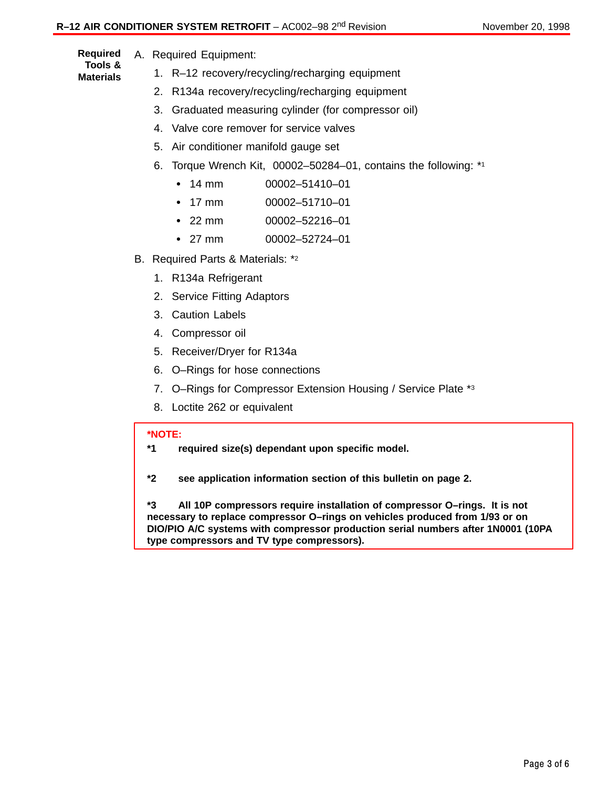A. Required Equipment: **Required**

- **Tools & Materials**
- 1. R–12 recovery/recycling/recharging equipment
- 2. R134a recovery/recycling/recharging equipment
	- 3. Graduated measuring cylinder (for compressor oil)
	- 4. Valve core remover for service valves
	- 5. Air conditioner manifold gauge set
	- 6. Torque Wrench Kit, 00002–50284–01, contains the following: \*1
		- $\cdot$  14 mm 00002-51410-01
		- $\cdot$  17 mm 00002-51710-01
		- $\cdot$  22 mm 22 mm 00002–52216–01
		- $\cdot$  27 mm 27 mm 00002–52724–01
- B. Required Parts & Materials: \*2
	- 1. R134a Refrigerant
	- 2. Service Fitting Adaptors
	- 3. Caution Labels
	- 4. Compressor oil
	- 5. Receiver/Dryer for R134a
	- 6. O–Rings for hose connections
	- 7. O–Rings for Compressor Extension Housing / Service Plate \*3
	- 8. Loctite 262 or equivalent

### **\*NOTE:**

- **\*1 required size(s) dependant upon specific model.**
- **\*2 see application information section of this bulletin on page 2.**

**\*3 All 10P compressors require installation of compressor O–rings. It is not necessary to replace compressor O–rings on vehicles produced from 1/93 or on DIO/PIO A/C systems with compressor production serial numbers after 1N0001 (10PA type compressors and TV type compressors).**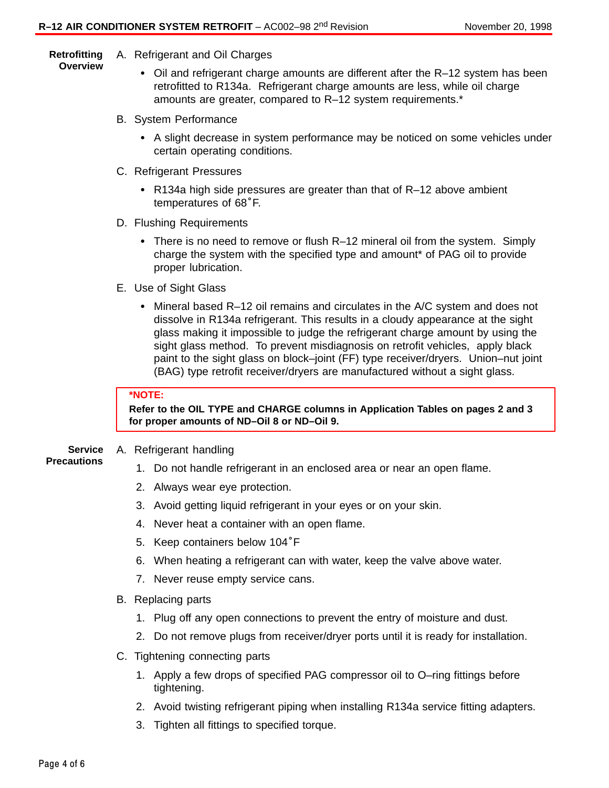#### A. Refrigerant and Oil Charges **Retrofitting Overview**

- Oil and refrigerant charge amounts are different after the R–12 system has been retrofitted to R134a. Refrigerant charge amounts are less, while oil charge amounts are greater, compared to R–12 system requirements.\*
- B. System Performance
	- Ĭ A slight decrease in system performance may be noticed on some vehicles under certain operating conditions.
- C. Refrigerant Pressures
	- R134a high side pressures are greater than that of R–12 above ambient igerant Pressures<br>R134a high side press<br>temperatures of 68°F.
- D. Flushing Requirements
	- There is no need to remove or flush R–12 mineral oil from the system. Simply charge the system with the specified type and amount\* of PAG oil to provide proper lubrication.
- E. Use of Sight Glass
	- Mineral based R–12 oil remains and circulates in the A/C system and does not dissolve in R134a refrigerant. This results in a cloudy appearance at the sight glass making it impossible to judge the refrigerant charge amount by using the sight glass method. To prevent misdiagnosis on retrofit vehicles, apply black paint to the sight glass on block–joint (FF) type receiver/dryers. Union–nut joint (BAG) type retrofit receiver/dryers are manufactured without a sight glass.

### **\*NOTE:**

**Refer to the OIL TYPE and CHARGE columns in Application Tables on pages 2 and 3 for proper amounts of ND–Oil 8 or ND–Oil 9.**

- A. Refrigerant handling **Service**
- **Precautions**
- 1. Do not handle refrigerant in an enclosed area or near an open flame.
- 2. Always wear eye protection.
- 3. Avoid getting liquid refrigerant in your eyes or on your skin.
- 4. Never heat a container with an open flame.
- 5. Keep containers below 104°<sup>F</sup>
- 6. When heating a refrigerant can with water, keep the valve above water.
- 7. Never reuse empty service cans.
- B. Replacing parts
	- 1. Plug off any open connections to prevent the entry of moisture and dust.
	- 2. Do not remove plugs from receiver/dryer ports until it is ready for installation.
- C. Tightening connecting parts
	- 1. Apply a few drops of specified PAG compressor oil to O–ring fittings before tightening.
	- 2. Avoid twisting refrigerant piping when installing R134a service fitting adapters.
	- 3. Tighten all fittings to specified torque.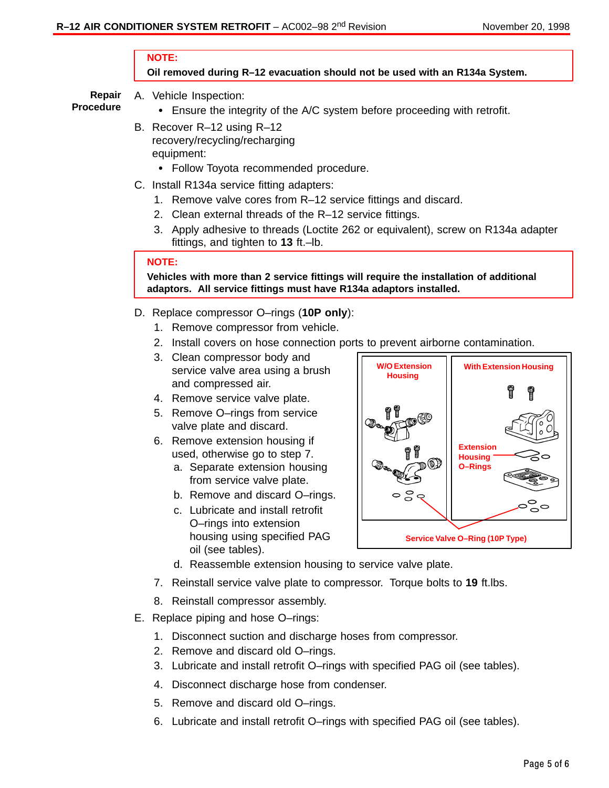### **NOTE:**

## **Oil removed during R–12 evacuation should not be used with an R134a System.**

**Repair Procedure**

- A. Vehicle Inspection: Ensure the integrity of the A/C system before proceeding with retrofit.
- B. Recover R–12 using R–12 recovery/recycling/recharging equipment:
	- Follow Toyota recommended procedure.
- C. Install R134a service fitting adapters:
	- 1. Remove valve cores from R–12 service fittings and discard.
	- 2. Clean external threads of the R–12 service fittings.
	- 3. Apply adhesive to threads (Loctite 262 or equivalent), screw on R134a adapter fittings, and tighten to **13** ft.–lb.

# **NOTE:**

**Vehicles with more than 2 service fittings will require the installation of additional adaptors. All service fittings must have R134a adaptors installed.**

- D. Replace compressor O–rings (**10P only**):
	- 1. Remove compressor from vehicle.
	- 2. Install covers on hose connection ports to prevent airborne contamination.
	- 3. Clean compressor body and service valve area using a brush and compressed air.
	- 4. Remove service valve plate.
	- 5. Remove O–rings from service valve plate and discard.
	- 6. Remove extension housing if used, otherwise go to step 7.
		- a. Separate extension housing from service valve plate.
		- b. Remove and discard O–rings.
		- c. Lubricate and install retrofit O–rings into extension housing using specified PAG oil (see tables).



- d. Reassemble extension housing to service valve plate.
- 7. Reinstall service valve plate to compressor. Torque bolts to **19** ft.lbs.
- 8. Reinstall compressor assembly.
- E. Replace piping and hose O–rings:
	- 1. Disconnect suction and discharge hoses from compressor.
	- 2. Remove and discard old O–rings.
	- 3. Lubricate and install retrofit O–rings with specified PAG oil (see tables).
	- 4. Disconnect discharge hose from condenser.
	- 5. Remove and discard old O–rings.
	- 6. Lubricate and install retrofit O–rings with specified PAG oil (see tables).